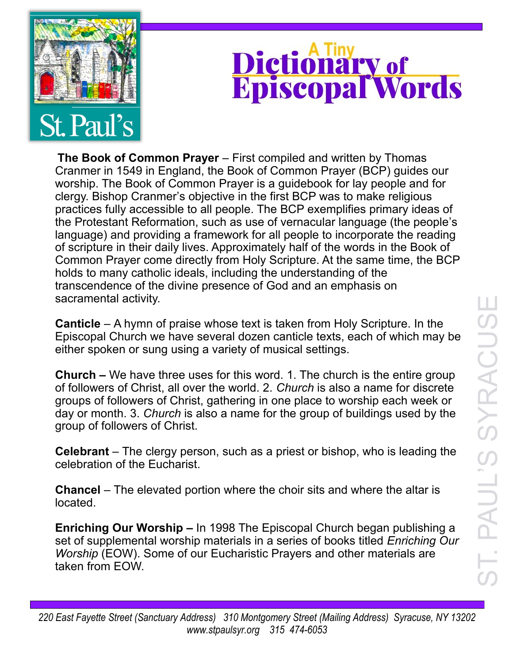

## Dictionary of<br>Episcopal Words

**The Book of Common Prayer** – First compiled and written by Thomas Cranmer in 1549 in England, the Book of Common Prayer (BCP) guides our worship. The Book of Common Prayer is a guidebook for lay people and for clergy. Bishop Cranmer's objective in the first BCP was to make religious practices fully accessible to all people. The BCP exemplifies primary ideas of the Protestant Reformation, such as use of vernacular language (the people's language) and providing a framework for all people to incorporate the reading of scripture in their daily lives. Approximately half of the words in the Book of Common Prayer come directly from Holy Scripture. At the same time, the BCP holds to many catholic ideals, including the understanding of the transcendence of the divine presence of God and an emphasis on sacramental activity.

**Canticle** – A hymn of praise whose text is taken from Holy Scripture. In the Episcopal Church we have several dozen canticle texts, each of which may be either spoken or sung using a variety of musical settings.

**Church –** We have three uses for this word. 1. The church is the entire group of followers of Christ, all over the world. 2. *Church* is also a name for discrete groups of followers of Christ, gathering in one place to worship each week or day or month. 3. *Church* is also a name for the group of buildings used by the group of followers of Christ.

**Celebrant** – The clergy person, such as a priest or bishop, who is leading the celebration of the Eucharist.

**Chancel** – The elevated portion where the choir sits and where the altar is located.

**Enriching Our Worship –** In 1998 The Episcopal Church began publishing a set of supplemental worship materials in a series of books titled *Enriching Our Worship* (EOW). Some of our Eucharistic Prayers and other materials are taken from EOW.